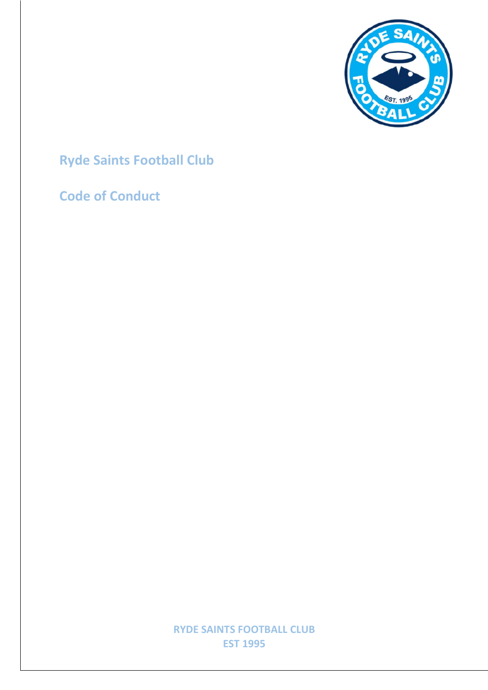

# **Ryde Saints Football Club**

### **Code of Conduct**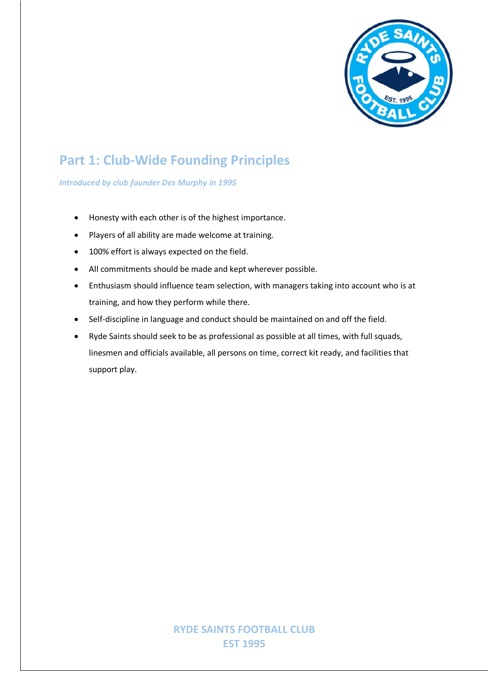

## **Part 1: Club-Wide Founding Principles**

*Introduced by club founder Des Murphy in 1995*

- Honesty with each other is of the highest importance.
- Players of all ability are made welcome at training.
- 100% effort is always expected on the field.
- All commitments should be made and kept wherever possible.
- Enthusiasm should influence team selection, with managers taking into account who is at training, and how they perform while there.
- Self-discipline in language and conduct should be maintained on and off the field.
- Ryde Saints should seek to be as professional as possible at all times, with full squads, linesmen and officials available, all persons on time, correct kit ready, and facilities that support play.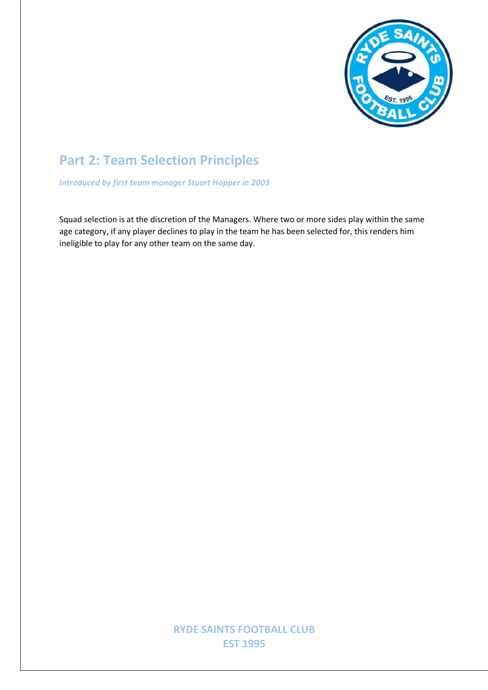

## **Part 2: Team Selection Principles**

*Introduced by first team manager Stuart Hopper in 2003*

Squad selection is at the discretion of the Managers. Where two or more sides play within the same age category, if any player declines to play in the team he has been selected for, this renders him ineligible to play for any other team on the same day.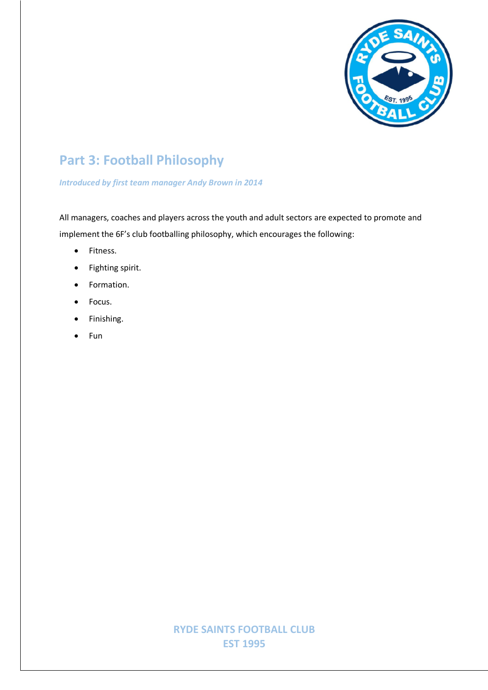

## **Part 3: Football Philosophy**

#### *Introduced by first team manager Andy Brown in 2014*

All managers, coaches and players across the youth and adult sectors are expected to promote and implement the 6F's club footballing philosophy, which encourages the following:

- Fitness.
- Fighting spirit.
- Formation.
- Focus.
- Finishing.
- Fun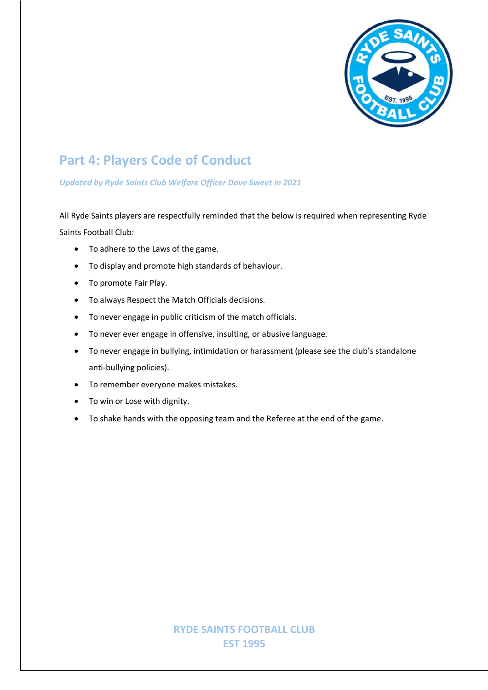

## **Part 4: Players Code of Conduct**

#### *Updated by Ryde Saints Club Welfare Officer Dave Sweet in 2021*

All Ryde Saints players are respectfully reminded that the below is required when representing Ryde Saints Football Club:

- To adhere to the Laws of the game.
- To display and promote high standards of behaviour.
- To promote Fair Play.
- To always Respect the Match Officials decisions.
- To never engage in public criticism of the match officials.
- To never ever engage in offensive, insulting, or abusive language.
- To never engage in bullying, intimidation or harassment (please see the club's standalone anti-bullying policies).
- To remember everyone makes mistakes.
- To win or Lose with dignity.
- To shake hands with the opposing team and the Referee at the end of the game.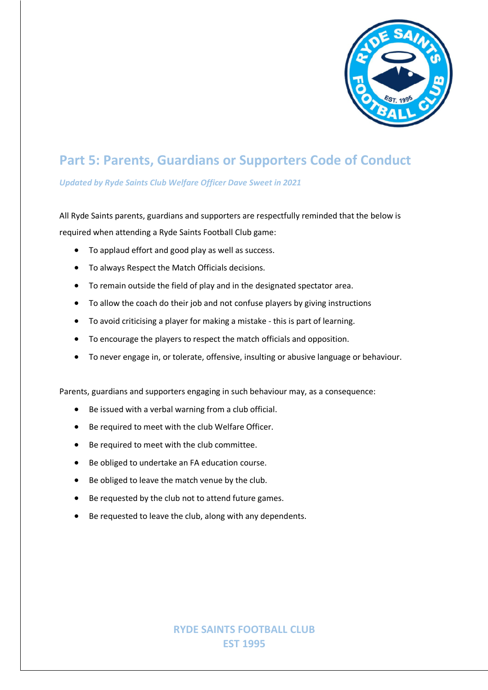

## **Part 5: Parents, Guardians or Supporters Code of Conduct**

#### *Updated by Ryde Saints Club Welfare Officer Dave Sweet in 2021*

All Ryde Saints parents, guardians and supporters are respectfully reminded that the below is required when attending a Ryde Saints Football Club game:

- To applaud effort and good play as well as success.
- To always Respect the Match Officials decisions.
- To remain outside the field of play and in the designated spectator area.
- To allow the coach do their job and not confuse players by giving instructions
- To avoid criticising a player for making a mistake this is part of learning.
- To encourage the players to respect the match officials and opposition.
- To never engage in, or tolerate, offensive, insulting or abusive language or behaviour.

Parents, guardians and supporters engaging in such behaviour may, as a consequence:

- Be issued with a verbal warning from a club official.
- Be required to meet with the club Welfare Officer.
- Be required to meet with the club committee.
- Be obliged to undertake an FA education course.
- Be obliged to leave the match venue by the club.
- Be requested by the club not to attend future games.
- Be requested to leave the club, along with any dependents.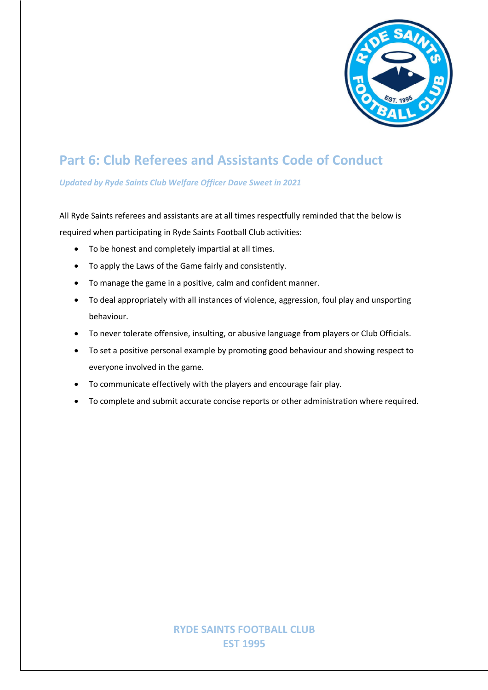

## **Part 6: Club Referees and Assistants Code of Conduct**

*Updated by Ryde Saints Club Welfare Officer Dave Sweet in 2021*

All Ryde Saints referees and assistants are at all times respectfully reminded that the below is required when participating in Ryde Saints Football Club activities:

- To be honest and completely impartial at all times.
- To apply the Laws of the Game fairly and consistently.
- To manage the game in a positive, calm and confident manner.
- To deal appropriately with all instances of violence, aggression, foul play and unsporting behaviour.
- To never tolerate offensive, insulting, or abusive language from players or Club Officials.
- To set a positive personal example by promoting good behaviour and showing respect to everyone involved in the game.
- To communicate effectively with the players and encourage fair play.
- To complete and submit accurate concise reports or other administration where required.